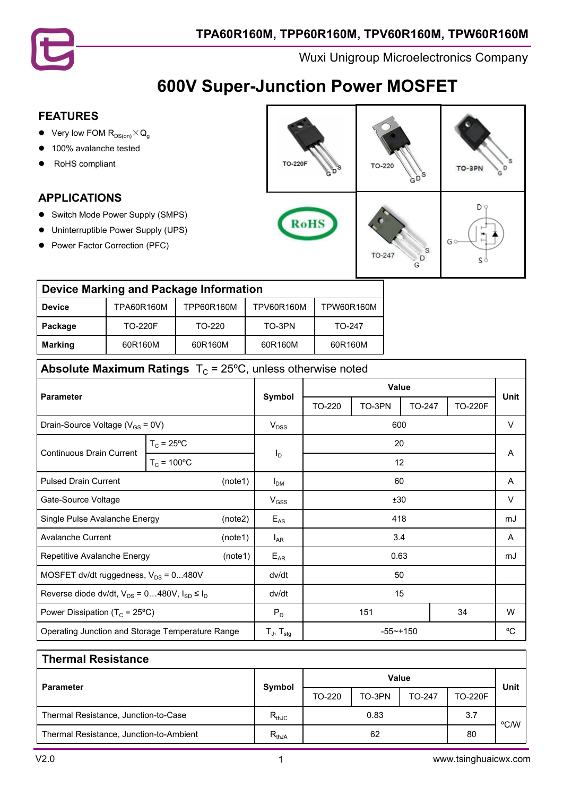

# **600V Super-Junction Power MOSFET**

### **FEATURES**

- **•** Very low FOM  $R_{DS(on)} \times Q_g$
- 100% avalanche tested
- RoHS compliant

### **APPLICATIONS**

- **•** Switch Mode Power Supply (SMPS)
- **•** Uninterruptible Power Supply (UPS)
- Power Factor Correction (PFC)

| <b>TO-220F</b><br>'S<br>G | TO-220<br>s                                 | s<br>TO-SPN<br>з |
|---------------------------|---------------------------------------------|------------------|
| RoHS                      | $\mathbf{S}$<br>TO-247<br>$\mathbf{D}$<br>G | D 9<br>G (<br>S  |

#### **Device Marking and Package Information Device** TPA60R160M TPP60R160M TPV60R160M TPW60R160M

| DEVICE         | <u>IFAUUN IUUMI</u> | <b>IFFUURIUUIVI</b> | <b>IF VUURTUUIVI</b> | <b>IF WUURTUUM</b> |
|----------------|---------------------|---------------------|----------------------|--------------------|
| Package        | <b>TO-220F</b>      | TO-220              | TO-3PN               | TO-247             |
| <b>Marking</b> | 60R160M             | 60R160M             | 60R160M              | 60R160M            |

## **Absolute Maximum Ratings**  $T_c = 25^{\circ}$ C, unless otherwise noted

|                                                          |                      |                     | Value            |        |        | Unit   |                |        |
|----------------------------------------------------------|----------------------|---------------------|------------------|--------|--------|--------|----------------|--------|
| <b>Parameter</b>                                         |                      |                     | Symbol           | TO-220 | TO-3PN | TO-247 | <b>TO-220F</b> |        |
| Drain-Source Voltage ( $V_{GS}$ = 0V)                    |                      |                     | V <sub>DSS</sub> |        | 600    |        |                | $\vee$ |
| $T_c = 25$ °C                                            |                      |                     |                  |        | 20     |        |                |        |
| <b>Continuous Drain Current</b>                          | $T_c = 100^{\circ}C$ |                     | I <sub>D</sub>   | 12     |        |        |                | A      |
| <b>Pulsed Drain Current</b><br>(note1)                   |                      | I <sub>DM</sub>     |                  | 60     |        |        | A              |        |
| Gate-Source Voltage                                      |                      | $V_{GSS}$           | ±30              |        |        |        | $\vee$         |        |
| Single Pulse Avalanche Energy<br>(note2)                 |                      | $E_{AS}$            |                  | 418    |        |        | mJ             |        |
| <b>Avalanche Current</b><br>(note1)                      |                      | $I_{AR}$            |                  | 3.4    |        |        | A              |        |
| Repetitive Avalanche Energy<br>(note1)                   |                      |                     | $E_{AR}$         | 0.63   |        |        | mJ             |        |
| MOSFET dv/dt ruggedness, $V_{DS}$ = 0480V                |                      | dv/dt               | 50               |        |        |        |                |        |
| Reverse diode dv/dt, $V_{DS} = 0480V$ , $I_{SD} \le I_D$ |                      | dv/dt               | 15               |        |        |        |                |        |
| Power Dissipation ( $T_c$ = 25°C)                        |                      | $P_D$               | 34<br>151        |        |        | W      |                |        |
| Operating Junction and Storage Temperature Range         |                      | $T_{J}$ , $T_{stq}$ | $-55 - + 150$    |        |        | °C     |                |        |

#### **Thermal Resistance**

|                                         |                              | <b>Value</b> |        |               |                | Unit |
|-----------------------------------------|------------------------------|--------------|--------|---------------|----------------|------|
| Parameter                               | Symbol                       | TO-220       | TO-3PN | <b>TO-247</b> | <b>TO-220F</b> |      |
| Thermal Resistance, Junction-to-Case    | $\mathsf{R}_{\mathsf{thJC}}$ |              | 0.83   |               | 3.7            | °C/W |
| Thermal Resistance, Junction-to-Ambient | $R_{thJA}$                   |              | 62     |               | 80             |      |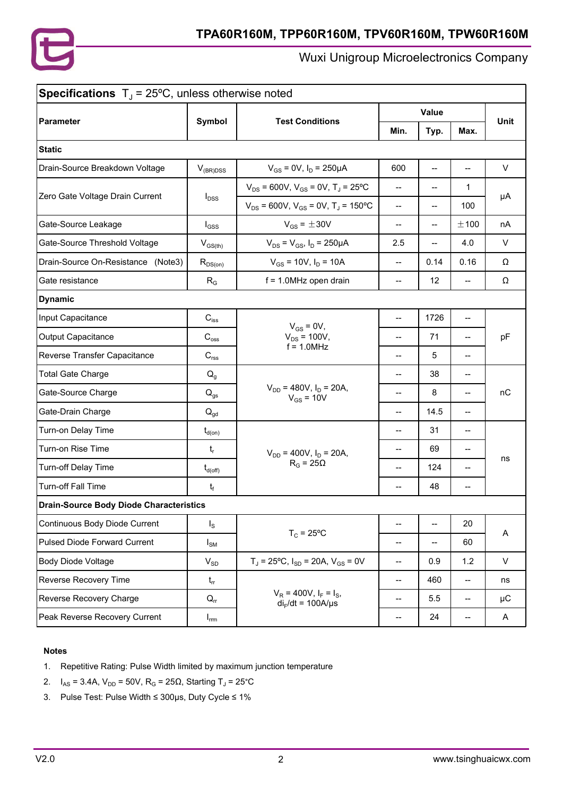

|                                                |                            | Value                                                  |                          |                          |       |             |
|------------------------------------------------|----------------------------|--------------------------------------------------------|--------------------------|--------------------------|-------|-------------|
| Parameter                                      | Symbol                     | <b>Test Conditions</b>                                 | Min.                     | Typ.                     | Max.  | <b>Unit</b> |
| <b>Static</b>                                  |                            |                                                        |                          |                          |       |             |
| Drain-Source Breakdown Voltage                 | $V_{(BR)DSS}$              | $V_{GS}$ = 0V, $I_D$ = 250µA                           | 600                      | $\overline{\phantom{a}}$ | --    | $\vee$      |
| Zero Gate Voltage Drain Current                |                            | $V_{DS}$ = 600V, $V_{GS}$ = 0V, T <sub>J</sub> = 25°C  | --                       | --                       | 1.    |             |
|                                                | $I_{\text{DSS}}$           | $V_{DS}$ = 600V, $V_{GS}$ = 0V, T <sub>J</sub> = 150°C | $\overline{a}$           | --                       | 100   | μA          |
| Gate-Source Leakage                            | $I_{GSS}$                  | $V_{GS} = \pm 30V$                                     | $\overline{\phantom{a}}$ | --                       | ±100  | nA          |
| Gate-Source Threshold Voltage                  | $V_{GS(th)}$               | $V_{DS} = V_{GS}$ , $I_D = 250 \mu A$                  | 2.5                      | --                       | 4.0   | V           |
| Drain-Source On-Resistance (Note3)             | $R_{DS(on)}$               | $V_{GS}$ = 10V, $I_D$ = 10A                            | $\overline{a}$           | 0.14                     | 0.16  | Ω           |
| Gate resistance                                | $R_G$                      | $f = 1.0$ MHz open drain                               | $\overline{a}$           | 12                       | $- -$ | Ω           |
| <b>Dynamic</b>                                 |                            |                                                        |                          |                          |       |             |
| Input Capacitance                              | $C_{iss}$                  | $V_{GS} = 0V$ ,                                        | $\overline{a}$           | 1726                     | --    |             |
| Output Capacitance                             | $C_{\text{oss}}$           | $V_{DS}$ = 100V,<br>$f = 1.0$ MHz                      | $-$                      | 71                       | $-$   | pF          |
| Reverse Transfer Capacitance                   | $C_{\text{rss}}$           |                                                        | $-$                      | 5                        | --    |             |
| <b>Total Gate Charge</b>                       | $Q_q$                      |                                                        | $\overline{\phantom{a}}$ | 38                       | --    |             |
| Gate-Source Charge                             | $\mathsf{Q}_{\mathsf{gs}}$ | $V_{DD}$ = 480V, $I_D$ = 20A,<br>$V_{GS}$ = 10V        | --                       | 8                        | --    | nC          |
| Gate-Drain Charge                              | $Q_{gd}$                   |                                                        | $\overline{\phantom{a}}$ | 14.5                     | --    |             |
| Turn-on Delay Time                             | $t_{d(on)}$                |                                                        | --                       | 31                       | --    |             |
| Turn-on Rise Time                              | $t_{r}$                    | $V_{DD}$ = 400V, $I_D$ = 20A,                          | $\overline{a}$           | 69                       | --    | ns          |
| Turn-off Delay Time                            | $t_{d(\rm off)}$           | $R_G = 25\Omega$                                       | $-$                      | 124                      | --    |             |
| Turn-off Fall Time                             | $t_f$                      |                                                        | --                       | 48                       | --    |             |
| <b>Drain-Source Body Diode Characteristics</b> |                            |                                                        |                          |                          |       |             |
| Continuous Body Diode Current                  | $I_{\rm S}$                |                                                        | $\overline{\phantom{a}}$ | $\overline{\phantom{a}}$ | 20    |             |
| <b>Pulsed Diode Forward Current</b>            | $I_{\text{SM}}$            | $T_c = 25^{\circ}C$                                    | $\overline{\phantom{a}}$ | --                       | 60    | Α           |
| Body Diode Voltage                             | $V_{SD}$                   | $T_J = 25$ °C, $I_{SD} = 20A$ , $V_{GS} = 0V$          | $\qquad \qquad -$        | 0.9                      | 1.2   | V           |
| Reverse Recovery Time                          | $t_{rr}$                   |                                                        | $-$                      | 460                      | --    | ns          |
| Reverse Recovery Charge                        | $Q_{rr}$                   | $V_R$ = 400V, $I_F = I_S$ ,<br>$di_F/dt = 100A/\mu s$  | --                       | 5.5                      | --    | $\mu$ C     |
| Peak Reverse Recovery Current                  | $I_{\text{rrm}}$           |                                                        | ÷-                       | 24                       | --    | A           |

#### **Notes**

- 1. Repetitive Rating: Pulse Width limited by maximum junction temperature
- 2.  $I_{AS} = 3.4A$ ,  $V_{DD} = 50V$ ,  $R_G = 25Ω$ , Starting T<sub>J</sub> = 25°C
- 3. Pulse Test: Pulse Width ≤ 300μs, Duty Cycle ≤ 1%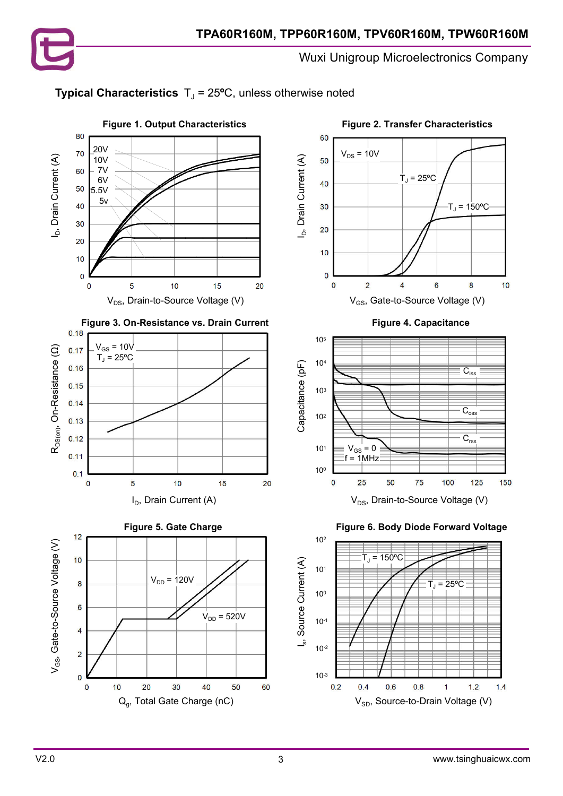

8

125

150

 $10$ 





 $1.2$ 

 $1.4$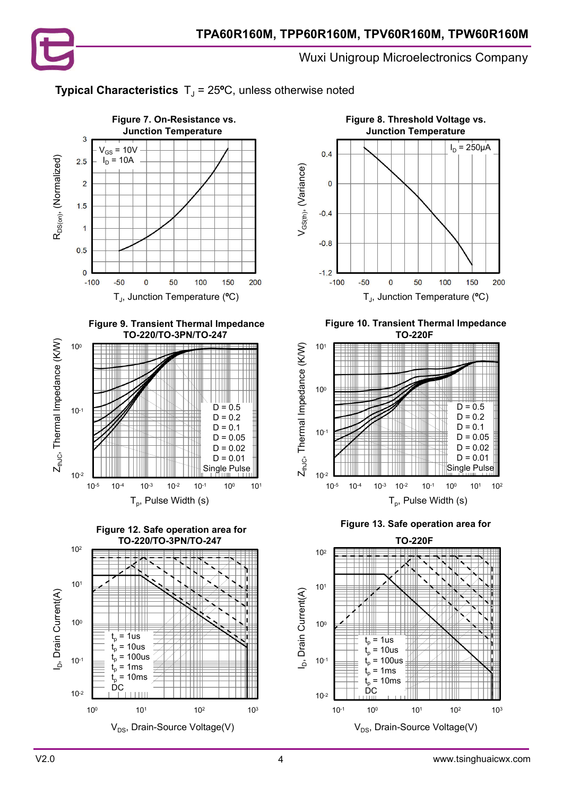













 **Figure 10. Transient Thermal Impedance TO-220F**



 **Figure 13. Safe operation area for**

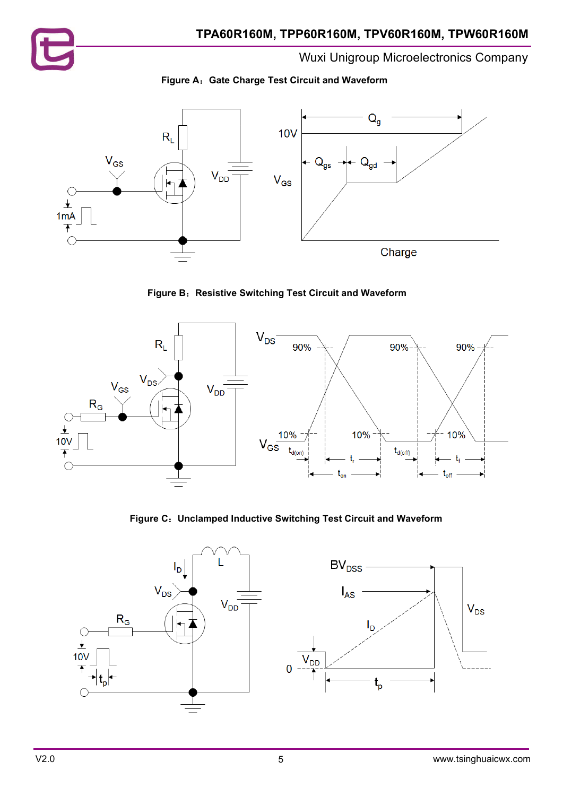









**Figure C**:**Unclamped Inductive Switching Test Circuit and Waveform**

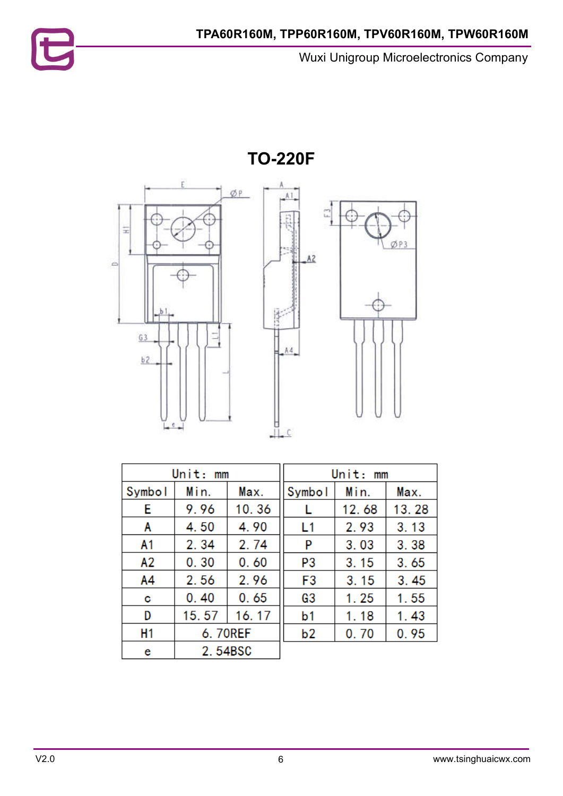



| Unit:<br>mm   |         |       |                | Unit:<br>mm |       |
|---------------|---------|-------|----------------|-------------|-------|
| <b>Symbol</b> | Min.    | Max.  | <b>Symbol</b>  | Min.        | Max.  |
| E             | 9.96    | 10.36 |                | 12.68       | 13.28 |
| A             | 4.50    | 4.90  | L1             | 2.93        | 3.13  |
| A1            | 2.34    | 2.74  | P              | 3.03        | 3.38  |
| А2            | 0.30    | 0.60  | P3             | 3.15        | 3.65  |
| A4            | 2.56    | 2.96  | F3             | 3.15        | 3.45  |
| С             | 0.40    | 0.65  | G3             | 1.25        | 1.55  |
| D             | 15.57   | 16.17 | b1             | 1.18        | 1.43  |
| H1            | 6.70REF |       | b <sub>2</sub> | 0.70        | 0.95  |
| e             | 2.54BSC |       |                |             |       |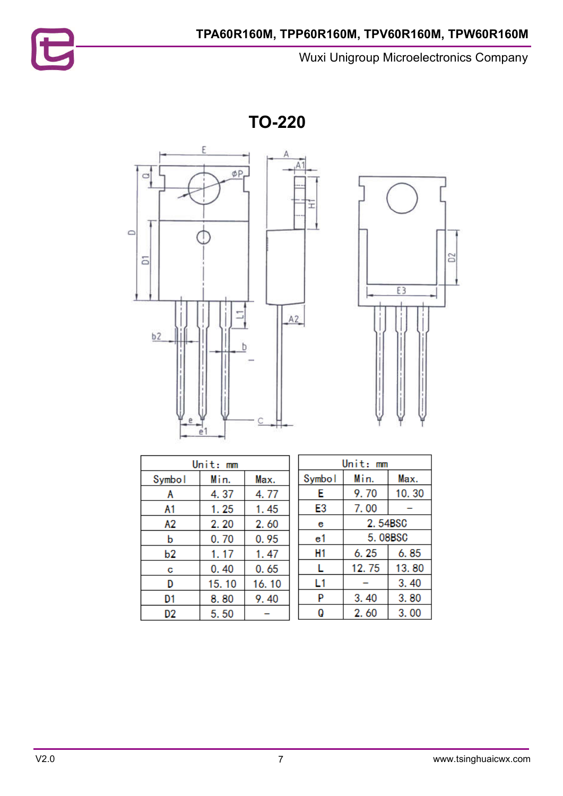**TO-220**





| Unit: mm |       |       |  |  |
|----------|-------|-------|--|--|
| Symbol   | Min.  | Max.  |  |  |
| А        | 4.37  | 4.77  |  |  |
| A1       | 1.25  | 1.45  |  |  |
| А2       | 2.20  | 2.60  |  |  |
| b        | 0.70  | 0.95  |  |  |
| b2       | 1.17  | 1.47  |  |  |
| С        | 0.40  | 0.65  |  |  |
| D        | 15.10 | 16.10 |  |  |
| D1       | 8.80  | 9.40  |  |  |
| D2       | 5.50  |       |  |  |

| Unit: mm |         |       |  |  |
|----------|---------|-------|--|--|
| Symbol   | Min.    | Max.  |  |  |
| E        | 9.70    | 10.30 |  |  |
| E3       | 7.00    |       |  |  |
| е        | 2.54BSC |       |  |  |
| e1       | 5.08BSC |       |  |  |
| H1       | 6. 25   | 6.85  |  |  |
| L        | 12.75   | 13.80 |  |  |
| L1       |         | 3.40  |  |  |
| P        | 3.40    | 3.80  |  |  |
| Q        | 2.60    | 3.00  |  |  |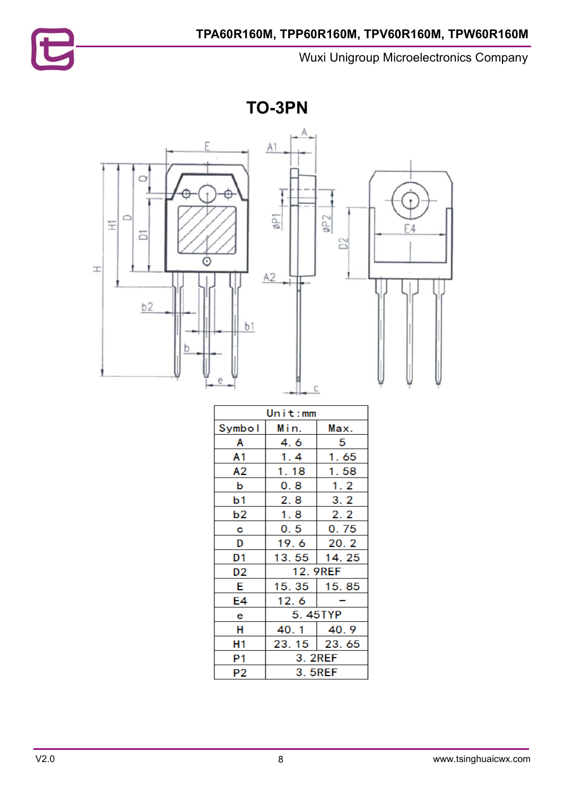

**TO-3PN**



| Unit:mm        |         |                 |  |
|----------------|---------|-----------------|--|
| Symbol         | Min.    | Max.            |  |
| Α              | 4. 6    | 5               |  |
| Α1             | 1.4     | 1.65            |  |
| A2             | 1.18    | 1.58            |  |
| b              | 0.8     | 1.2             |  |
| b1             | 2.8     | 3.2             |  |
| b2             | 1.8     | 2.2             |  |
| С              | 0.5     | 0.75            |  |
| D              | 19.6    | 20.2            |  |
| D1             | 13.55   | 14.25           |  |
| D2             |         | <b>12.9REF</b>  |  |
| Е              | 15.35   | 15.85           |  |
| E4             | 12.6    |                 |  |
| e              | 5.45TYP |                 |  |
| н              | 40.1    | 40.9            |  |
| Η1             |         | $23.15$   23.65 |  |
| P <sub>1</sub> | 3.2REF  |                 |  |
| P2             | 3.5REF  |                 |  |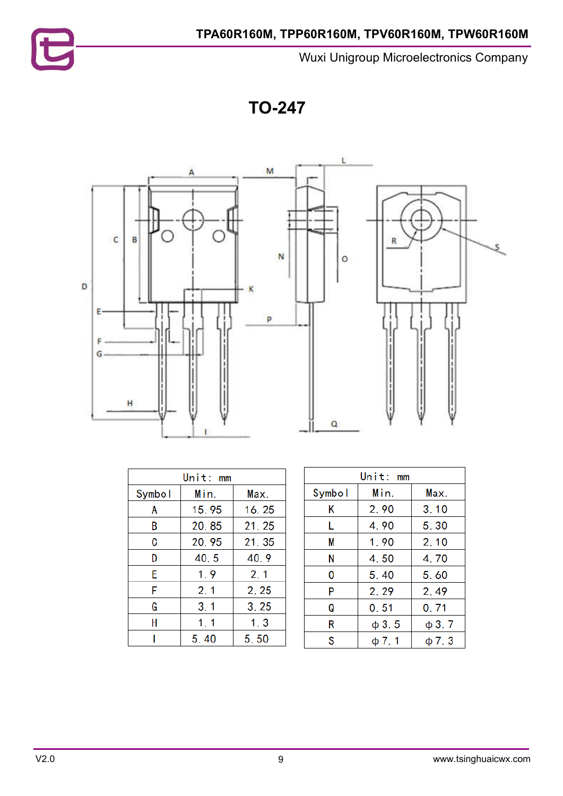

**TO-247**



| Unit: mm |       |        |  |  |
|----------|-------|--------|--|--|
| Symbol   | Min.  | Max.   |  |  |
| Α        | 15.95 | 16.25  |  |  |
| В        | 20.85 | 21, 25 |  |  |
| C        | 20.95 | 21, 35 |  |  |
| D        | 40.5  | 40.9   |  |  |
| E        | 1.9   | 2.1    |  |  |
| F        | 2, 1  | 2.25   |  |  |
| G        | 3.1   | 3.25   |  |  |
| H        | 1, 1  | 1.3    |  |  |
|          | 5.40  | 5.50   |  |  |

| Unit:<br>mm |            |            |  |  |
|-------------|------------|------------|--|--|
| Symbol      | Min.       | Max.       |  |  |
| Κ           | 2.90       | 3.10       |  |  |
| L           | 4.90       | 5.30       |  |  |
| М           | 1.90       | 2.10       |  |  |
| N           | 4.50       | 4.70       |  |  |
| 0           | 5.40       | 5.60       |  |  |
| P           | 2.29       | 2.49       |  |  |
| Q           | 0.51       | 0.71       |  |  |
| R           | $\phi$ 3.5 | $\phi$ 3.7 |  |  |
| S           | $\phi$ 7.1 | $\phi$ 7.3 |  |  |